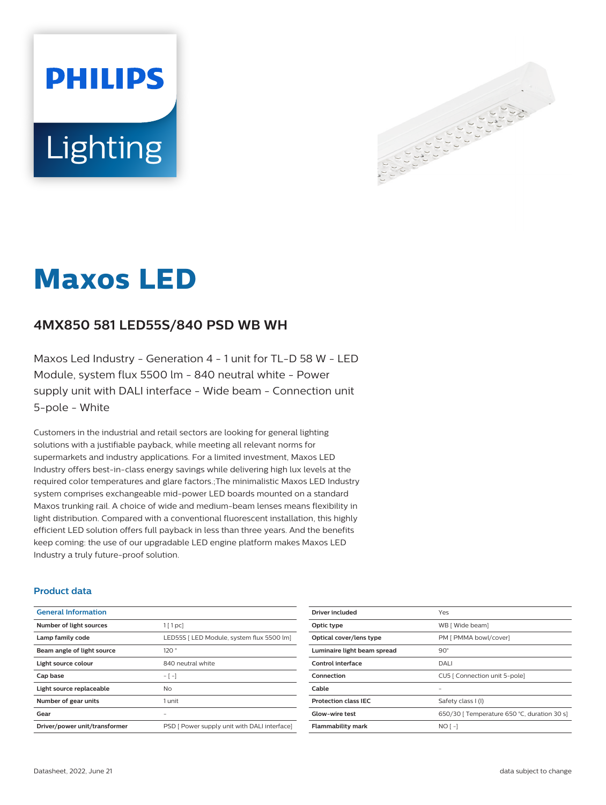# **PHILIPS** Lighting



# **Maxos LED**

# **4MX850 581 LED55S/840 PSD WB WH**

Maxos Led Industry - Generation 4 - 1 unit for TL-D 58 W - LED Module, system flux 5500 lm - 840 neutral white - Power supply unit with DALI interface - Wide beam - Connection unit 5-pole - White

Customers in the industrial and retail sectors are looking for general lighting solutions with a justifiable payback, while meeting all relevant norms for supermarkets and industry applications. For a limited investment, Maxos LED Industry offers best-in-class energy savings while delivering high lux levels at the required color temperatures and glare factors.;The minimalistic Maxos LED Industry system comprises exchangeable mid-power LED boards mounted on a standard Maxos trunking rail. A choice of wide and medium-beam lenses means flexibility in light distribution. Compared with a conventional fluorescent installation, this highly efficient LED solution offers full payback in less than three years. And the benefits keep coming: the use of our upgradable LED engine platform makes Maxos LED Industry a truly future-proof solution.

#### **Product data**

| <b>General Information</b>    |                                              |
|-------------------------------|----------------------------------------------|
| Number of light sources       | $1$ [ 1 pc]                                  |
| Lamp family code              | LED55S   LED Module, system flux 5500 lm]    |
| Beam angle of light source    | 120°                                         |
| Light source colour           | 840 neutral white                            |
| Cap base                      | $-[-]$                                       |
| Light source replaceable      | Nο                                           |
| Number of gear units          | 1 unit                                       |
| Gear                          |                                              |
| Driver/power unit/transformer | PSD [ Power supply unit with DALI interface] |

| Driver included             | Yes                                         |
|-----------------------------|---------------------------------------------|
| Optic type                  | WB [ Wide beam]                             |
| Optical cover/lens type     | PM [ PMMA bowl/cover]                       |
| Luminaire light beam spread | $90^\circ$                                  |
| Control interface           | DALI                                        |
| Connection                  | CU5   Connection unit 5-pole]               |
| Cable                       |                                             |
| <b>Protection class IEC</b> | Safety class I (I)                          |
| Glow-wire test              | 650/30   Temperature 650 °C, duration 30 s] |
| <b>Flammability mark</b>    | $NO$ [-1                                    |
|                             |                                             |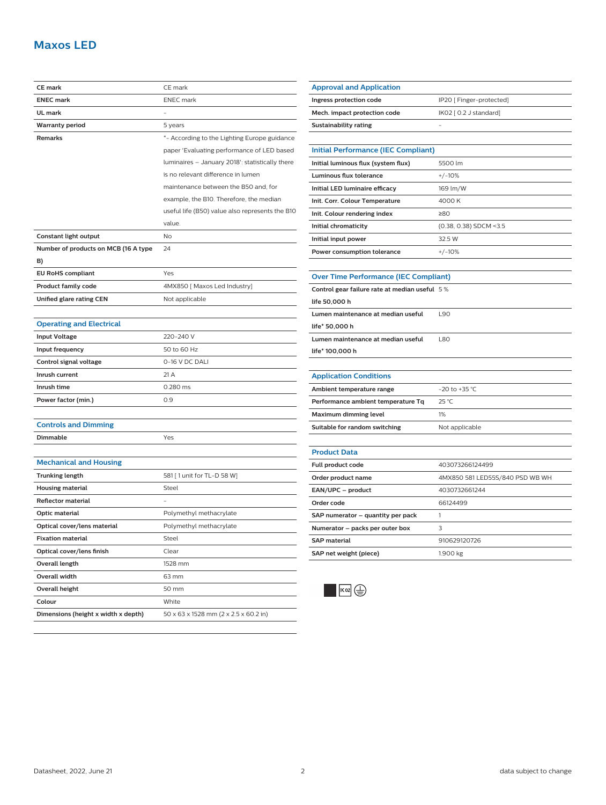# **Maxos LED**

| <b>CE mark</b>                       | CE mark                                         |
|--------------------------------------|-------------------------------------------------|
| <b>ENEC mark</b>                     | <b>ENEC</b> mark                                |
| <b>UL mark</b>                       |                                                 |
| <b>Warranty period</b>               | 5 years                                         |
| Remarks                              | *- According to the Lighting Europe guidance    |
|                                      | paper 'Evaluating performance of LED based      |
|                                      | luminaires - January 2018': statistically there |
|                                      | is no relevant difference in lumen              |
|                                      | maintenance between the B50 and, for            |
|                                      | example, the B10. Therefore, the median         |
|                                      | useful life (B50) value also represents the B10 |
|                                      | value.                                          |
| Constant light output                | No                                              |
| Number of products on MCB (16 A type | 24                                              |
| B)                                   |                                                 |
| <b>EU RoHS compliant</b>             | Yes                                             |
| <b>Product family code</b>           | 4MX850 [ Maxos Led Industry]                    |
| Unified glare rating CEN             | Not applicable                                  |
|                                      |                                                 |
| <b>Operating and Electrical</b>      |                                                 |
| <b>Input Voltage</b>                 | 220-240 V                                       |
| Input frequency                      | 50 to 60 Hz                                     |
| Control signal voltage               | 0-16 V DC DALI                                  |
| Inrush current                       | 21 A                                            |
| Inrush time                          | 0.280 ms                                        |
| Power factor (min.)                  | 0.9                                             |
|                                      |                                                 |
| <b>Controls and Dimming</b>          |                                                 |
| Dimmable                             | Yes                                             |
|                                      |                                                 |
| <b>Mechanical and Housing</b>        |                                                 |
| <b>Trunking length</b>               | 581 [ 1 unit for TL-D 58 W]                     |
| <b>Housing material</b>              | Steel                                           |
| Reflector material                   |                                                 |
| Optic material                       | Polymethyl methacrylate                         |
| Optical cover/lens material          | Polymethyl methacrylate                         |
| <b>Fixation material</b>             | Steel                                           |
| Optical cover/lens finish            | Clear                                           |
| Overall length                       | 1528 mm                                         |
| Overall width                        | 63 mm                                           |
| <b>Overall height</b>                | 50 mm                                           |
| Colour                               | White                                           |
| Dimensions (height x width x depth)  | 50 x 63 x 1528 mm (2 x 2.5 x 60.2 in)           |

| Ingress protection code                       | IP20 [ Finger-protected]        |  |
|-----------------------------------------------|---------------------------------|--|
| Mech. impact protection code                  | IK02 [ 0.2 J standard]          |  |
| <b>Sustainability rating</b>                  |                                 |  |
|                                               |                                 |  |
| <b>Initial Performance (IEC Compliant)</b>    |                                 |  |
| Initial luminous flux (system flux)           | 5500 lm                         |  |
| Luminous flux tolerance                       | $+/-10%$                        |  |
| Initial LED luminaire efficacy                | 169 lm/W                        |  |
| Init. Corr. Colour Temperature                | 4000K                           |  |
| Init. Colour rendering index                  | ≥80                             |  |
| Initial chromaticity                          | (0.38, 0.38) SDCM <3.5          |  |
| Initial input power                           | 32.5 W                          |  |
| Power consumption tolerance                   | $+/-10%$                        |  |
|                                               |                                 |  |
| <b>Over Time Performance (IEC Compliant)</b>  |                                 |  |
| Control gear failure rate at median useful 5% |                                 |  |
| life 50,000 h                                 |                                 |  |
| Lumen maintenance at median useful            | L90                             |  |
| life* 50,000 h                                |                                 |  |
| Lumen maintenance at median useful            | L80                             |  |
| life* 100,000 h                               |                                 |  |
|                                               |                                 |  |
| <b>Application Conditions</b>                 |                                 |  |
| Ambient temperature range                     | $-20$ to $+35$ °C               |  |
| Performance ambient temperature Tq            | 25 °C                           |  |
| Maximum dimming level                         | 1%                              |  |
| Suitable for random switching                 | Not applicable                  |  |
|                                               |                                 |  |
| <b>Product Data</b>                           |                                 |  |
| Full product code                             | 403073266124499                 |  |
| Order product name                            | 4MX850 581 LED55S/840 PSD WB WH |  |
| EAN/UPC - product                             | 4030732661244                   |  |
| Order code                                    | 66124499                        |  |
| SAP numerator - quantity per pack             | 1                               |  |
| Numerator - packs per outer box               | 3                               |  |
| <b>SAP</b> material                           | 910629120726                    |  |
| SAP net weight (piece)                        | 1.900 kg                        |  |



**Approval and Application**